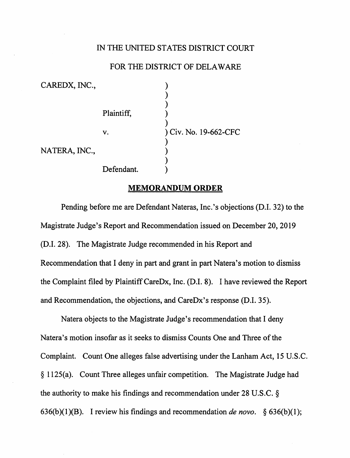# IN THE UNITED STATES DISTRICT COURT

## FOR THE DISTRICT OF DELAWARE

| CAREDX, INC., |            |                       |
|---------------|------------|-----------------------|
|               | Plaintiff, |                       |
|               | v.         | ) Civ. No. 19-662-CFC |
| NATERA, INC., |            |                       |
|               | Defendant. |                       |

#### **MEMORANDUM ORDER**

Pending before me are Defendant Nateras, Inc.'s objections (D.I. 32) to the Magistrate Judge's Report and Recommendation issued on December 20, 2019 (D.I. 28). The Magistrate Judge recommended in his Report and Recommendation that I deny in part and grant in part Natera's motion to dismiss the Complaint filed by Plaintiff CareDx, Inc. (D.I. 8). I have reviewed the Report and Recommendation, the objections, and CareDx's response (D.I. 35).

Natera objects to the Magistrate Judge's recommendation that I deny Natera's motion insofar as it seeks to dismiss Counts One and Three of the Complaint. Count One alleges false advertising under the Lanham Act, 15 U.S.C. § l 125(a). Count Three alleges unfair competition. The Magistrate Judge had the authority to make his findings and recommendation under 28 U.S.C. § 636(b){l)(B). I review his findings and recommendation *de novo.* § 636(b){l);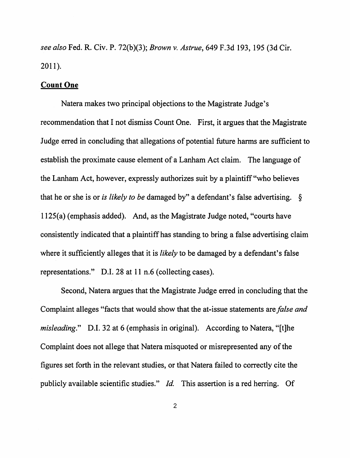*see also* Fed. R. Civ. P. 72(b)(3); *Brown v. Astrue,* 649 F.3d 193, 195 (3d Cir. 2011).

### **Count One**

Natera makes two principal objections to the Magistrate Judge's recommendation that I not dismiss Count One. First, it argues that the Magistrate Judge erred in concluding that allegations of potential future harms are sufficient to establish the proximate cause element of a Lanham Act claim. The language of the Lanham Act, however, expressly authorizes suit by a plaintiff"who believes that he or she is or *is likely to be* damaged by" a defendant's false advertising. § 1125(a) (emphasis added). And, as the Magistrate Judge noted, "courts have consistently indicated that a plaintiff has standing to bring a false advertising claim where it sufficiently alleges that it is *likely* to be damaged by a defendant's false representations." D.I. 28 at 11 n.6 (collecting cases).

Second, Natera argues that the Magistrate Judge erred in concluding that the Complaint alleges "facts that would show that the at-issue statements are *false and misleading.*" D.I. 32 at 6 (emphasis in original). According to Natera, "[t]he Complaint does not allege that Natera misquoted or misrepresented any of the figures set forth in the relevant studies, or that Natera failed to correctly cite the publicly available scientific studies." *Id.* This assertion is a red herring. Of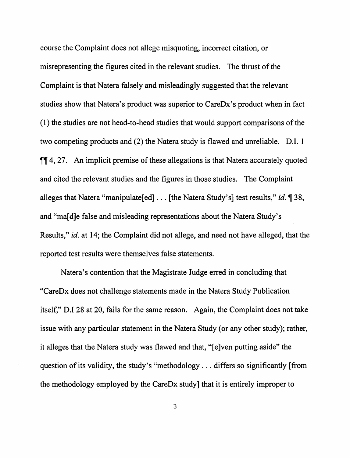course the Complaint does not allege misquoting, incorrect citation, or misrepresenting the figures cited in the relevant studies. The thrust of the Complaint is that Natera falsely and misleadingly suggested that the relevant studies show that Natera's product was superior to CareDx's product when in fact ( 1) the studies are not head-to-head studies that would support comparisons of the two competing products and (2) the Natera study is flawed and unreliable. D.I. 1 11 4, 27. An implicit premise of these allegations is that Natera accurately quoted and cited the relevant studies and the figures in those studies. The Complaint alleges that Natera "manipulate<sup>[ed]</sup> ... [the Natera Study's] test results," *id.* 138, and "ma[d]e false and misleading representations about the Natera Study's Results," *id.* at 14; the Complaint did not allege, and need not have alleged, that the reported test results were themselves false statements.

Natera's contention that the Magistrate Judge erred in concluding that "CareDx does not challenge statements made in the Natera Study Publication itself," D.I 28 at 20, fails for the same reason. Again, the Complaint does not take issue with any particular statement in the Natera Study (or any other study); rather, it alleges that the Natera study was flawed and that, "[e]ven putting aside" the question of its validity, the study's "methodology  $\dots$  differs so significantly [from the methodology employed by the CareDx study] that it is entirely improper to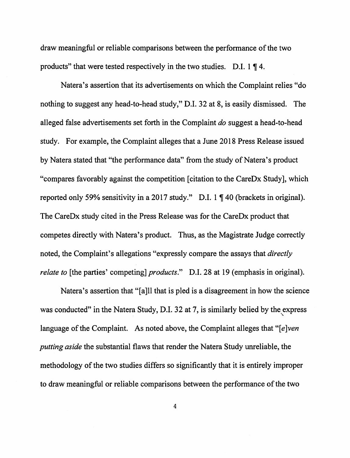draw meaningful or reliable comparisons between the performance of the two products" that were tested respectively in the two studies. D.I.  $1 \nparallel 4$ .

Natera's assertion that its advertisements on which the Complaint relies "do nothing to suggest any head-to-head study," D.I. 32 at 8, is easily dismissed. The alleged false advertisements set forth in the Complaint *do* suggest a head-to-head study. For example, the Complaint alleges that a June 2018 Press Release issued by Natera stated that "the performance data" from the study of Natera's product "compares favorably against the competition [ citation to the CareDx Study], which reported only 59% sensitivity in a 2017 study." D.I.  $1 \nparallel 40$  (brackets in original). The CareDx study cited in the Press Release was for the CareDx product that competes directly with Natera's product. Thus, as the Magistrate Judge correctly noted, the Complaint's allegations "expressly compare the assays that *directly relate to* [the parties' competing] *products.*" D.I. 28 at 19 (emphasis in original).

Natera's assertion that "[a]ll that is pied is a disagreement in how the science was conducted" in the Natera Study, D.I. 32 at 7, is similarly belied by the express language of the Complaint. As noted above, the Complaint alleges that "[e]ven *putting aside* the substantial flaws that render the Natera Study unreliable, the methodology of the two studies differs so significantly that it is entirely improper to draw meaningful or reliable comparisons between the performance of the two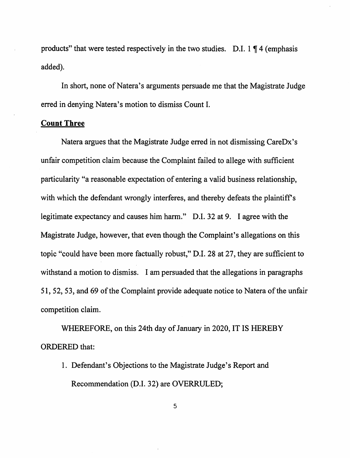products" that were tested respectively in the two studies. D.I.  $1 \nparallel 4$  (emphasis added).

In short, none of Natera's arguments persuade me that the Magistrate Judge erred in denying Natera's motion to dismiss Count I.

## **Count Three**

Natera argues that the Magistrate Judge erred in not dismissing CareDx's unfair competition claim because the Complaint failed to allege with sufficient particularity "a reasonable expectation of entering a valid business relationship, with which the defendant wrongly interferes, and thereby defeats the plaintiff's legitimate expectancy and causes him harm." D.I. 32 at 9. I agree with the Magistrate Judge, however, that even though the Complaint's allegations on this topic "could have been more factually robust," D.I. 28 at 27, they are sufficient to withstand a motion to dismiss. I am persuaded that the allegations in paragraphs 51, 52, 53, and 69 of the Complaint provide adequate notice to Natera of the unfair competition claim.

WHEREFORE, on this 24th day of January in 2020, IT IS HEREBY ORDERED that:

1. Defendant's Objections to the Magistrate Judge's Report and Recommendation (D.I. 32) are OVERRULED;

5